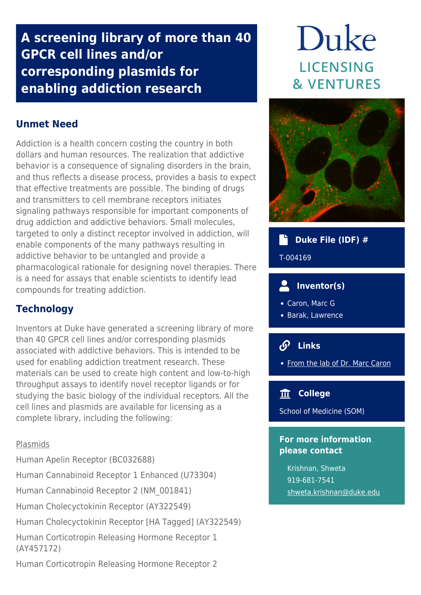## **A screening library of more than 40 GPCR cell lines and/or corresponding plasmids for enabling addiction research**

## **Unmet Need**

Addiction is a health concern costing the country in both dollars and human resources. The realization that addictive behavior is a consequence of signaling disorders in the brain, and thus reflects a disease process, provides a basis to expect that effective treatments are possible. The binding of drugs and transmitters to cell membrane receptors initiates signaling pathways responsible for important components of drug addiction and addictive behaviors. Small molecules, targeted to only a distinct receptor involved in addiction, will enable components of the many pathways resulting in addictive behavior to be untangled and provide a pharmacological rationale for designing novel therapies. There is a need for assays that enable scientists to identify lead compounds for treating addiction.

## **Technology**

Inventors at Duke have generated a screening library of more than 40 GPCR cell lines and/or corresponding plasmids associated with addictive behaviors. This is intended to be used for enabling addiction treatment research. These materials can be used to create high content and low-to-high throughput assays to identify novel receptor ligands or for studying the basic biology of the individual receptors. All the cell lines and plasmids are available for licensing as a complete library, including the following:

#### Plasmids

Human Apelin Receptor (BC032688)

Human Cannabinoid Receptor 1 Enhanced (U73304)

Human Cannabinoid Receptor 2 (NM\_001841)

Human Cholecyctokinin Receptor (AY322549)

Human Cholecyctokinin Receptor [HA Tagged] (AY322549)

Human Corticotropin Releasing Hormone Receptor 1 (AY457172)

Human Corticotropin Releasing Hormone Receptor 2

# Duke **LICENSING & VENTURES**



## **Duke File (IDF) #** T-004169

## **Inventor(s)**

- Caron, Marc G
- Barak, Lawrence

## **Links**

• [From the lab of Dr. Marc Caron](https://www.neuro.duke.edu/research/faculty-labs/caron-lab/lab-members)

#### **College**

School of Medicine (SOM)

#### **For more information please contact**

Krishnan, Shweta 919-681-7541 [shweta.krishnan@duke.edu](mailto:shweta.krishnan@duke.edu)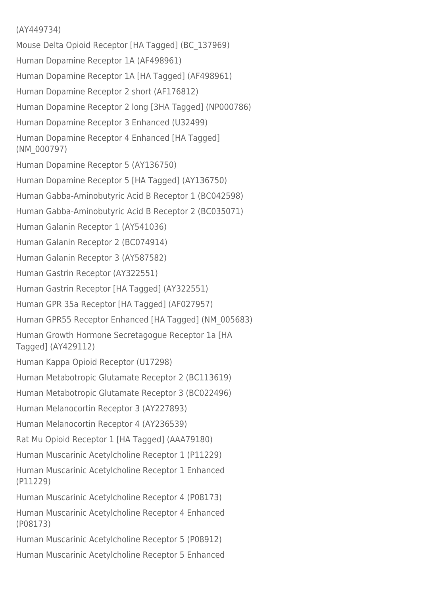#### (AY449734)

Mouse Delta Opioid Receptor [HA Tagged] (BC\_137969) Human Dopamine Receptor 1A (AF498961) Human Dopamine Receptor 1A [HA Tagged] (AF498961) Human Dopamine Receptor 2 short (AF176812) Human Dopamine Receptor 2 long [3HA Tagged] (NP000786) Human Dopamine Receptor 3 Enhanced (U32499) Human Dopamine Receptor 4 Enhanced [HA Tagged] (NM\_000797) Human Dopamine Receptor 5 (AY136750) Human Dopamine Receptor 5 [HA Tagged] (AY136750) Human Gabba-Aminobutyric Acid B Receptor 1 (BC042598) Human Gabba-Aminobutyric Acid B Receptor 2 (BC035071) Human Galanin Receptor 1 (AY541036) Human Galanin Receptor 2 (BC074914) Human Galanin Receptor 3 (AY587582) Human Gastrin Receptor (AY322551) Human Gastrin Receptor [HA Tagged] (AY322551) Human GPR 35a Receptor [HA Tagged] (AF027957) Human GPR55 Receptor Enhanced [HA Tagged] (NM\_005683) Human Growth Hormone Secretagogue Receptor 1a [HA Tagged] (AY429112) Human Kappa Opioid Receptor (U17298) Human Metabotropic Glutamate Receptor 2 (BC113619) Human Metabotropic Glutamate Receptor 3 (BC022496) Human Melanocortin Receptor 3 (AY227893) Human Melanocortin Receptor 4 (AY236539) Rat Mu Opioid Receptor 1 [HA Tagged] (AAA79180) Human Muscarinic Acetylcholine Receptor 1 (P11229) Human Muscarinic Acetylcholine Receptor 1 Enhanced (P11229) Human Muscarinic Acetylcholine Receptor 4 (P08173) Human Muscarinic Acetylcholine Receptor 4 Enhanced (P08173) Human Muscarinic Acetylcholine Receptor 5 (P08912) Human Muscarinic Acetylcholine Receptor 5 Enhanced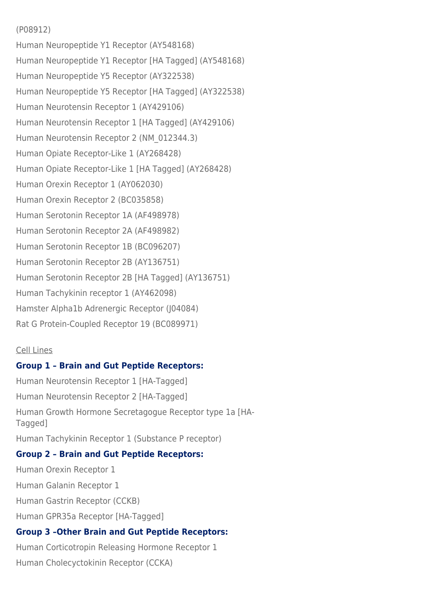#### (P08912)

Human Neuropeptide Y1 Receptor (AY548168) Human Neuropeptide Y1 Receptor [HA Tagged] (AY548168) Human Neuropeptide Y5 Receptor (AY322538) Human Neuropeptide Y5 Receptor [HA Tagged] (AY322538) Human Neurotensin Receptor 1 (AY429106) Human Neurotensin Receptor 1 [HA Tagged] (AY429106) Human Neurotensin Receptor 2 (NM\_012344.3) Human Opiate Receptor-Like 1 (AY268428) Human Opiate Receptor-Like 1 [HA Tagged] (AY268428) Human Orexin Receptor 1 (AY062030) Human Orexin Receptor 2 (BC035858) Human Serotonin Receptor 1A (AF498978) Human Serotonin Receptor 2A (AF498982) Human Serotonin Receptor 1B (BC096207) Human Serotonin Receptor 2B (AY136751) Human Serotonin Receptor 2B [HA Tagged] (AY136751) Human Tachykinin receptor 1 (AY462098) Hamster Alpha1b Adrenergic Receptor (J04084) Rat G Protein-Coupled Receptor 19 (BC089971)

#### Cell Lines

#### **Group 1 – Brain and Gut Peptide Receptors:**

Human Neurotensin Receptor 1 [HA-Tagged] Human Neurotensin Receptor 2 [HA-Tagged] Human Growth Hormone Secretagogue Receptor type 1a [HA-Tagged] Human Tachykinin Receptor 1 (Substance P receptor)

#### **Group 2 – Brain and Gut Peptide Receptors:**

Human Orexin Receptor 1 Human Galanin Receptor 1 Human Gastrin Receptor (CCKB) Human GPR35a Receptor [HA-Tagged] **Group 3 –Other Brain and Gut Peptide Receptors:**

Human Corticotropin Releasing Hormone Receptor 1 Human Cholecyctokinin Receptor (CCKA)